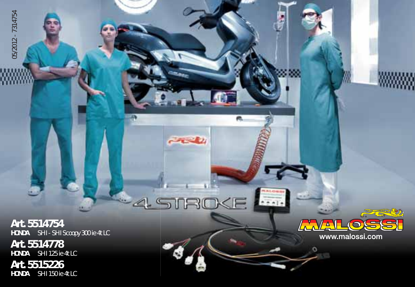Art. 5514754 HONDA SH I - SH I Scoopy 300 ie 4t LC HONDA<br>HONDA SH I 511754<br>HONDA SH I 5H I SCOOP<br>HONDA SH I 125 ie 4t LC<br>Art. 551515226<br>HONDA SH I 150 ie 4t LC

**Art. 5514778**<br>HONDA SH1125 ie SH I 125 ie 4t LC

**Art. 5515226**<br>HONDA SH1150 ie 4t LC



 $\overline{a}$ 

 $A + I$ 

 $-1/2$ 

**NROKI** 

 $\begin{picture}(120,15) \put(0,0){\vector(1,0){10}} \put(15,0){\vector(1,0){10}} \put(15,0){\vector(1,0){10}} \put(15,0){\vector(1,0){10}} \put(15,0){\vector(1,0){10}} \put(15,0){\vector(1,0){10}} \put(15,0){\vector(1,0){10}} \put(15,0){\vector(1,0){10}} \put(15,0){\vector(1,0){10}} \put(15,0){\vector(1,0){10}} \put(15,0){\vector(1,0){10}} \put(15,0){\vector($ 

 $\subseteq$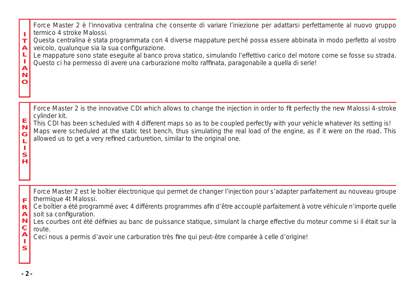| т<br>$\overline{A}$<br>Щ<br>J.<br>$\overline{A}$<br>N<br>$\mathbf o$ | Force Master 2 è l'innovativa centralina che consente di variare l'iniezione per adattarsi perfettamente al nuovo gruppo<br>termico 4 stroke Malossi.<br>Questa centralina è stata programmata con 4 diverse mappature perché possa essere abbinata in modo perfetto al vostro<br>veicolo, qualunque sia la sua configurazione.<br>Le mappature sono state esequite al banco prova statico, simulando l'effettivo carico del motore come se fosse su strada.<br>Questo ci ha permesso di avere una carburazione molto raffinata, paragonabile a quella di serie! |
|----------------------------------------------------------------------|------------------------------------------------------------------------------------------------------------------------------------------------------------------------------------------------------------------------------------------------------------------------------------------------------------------------------------------------------------------------------------------------------------------------------------------------------------------------------------------------------------------------------------------------------------------|
| $\frac{E}{N}$<br>G<br>L<br>S<br>н                                    | Force Master 2 is the innovative CDI which allows to change the injection in order to fit perfectly the new Malossi 4-stroke<br>cylinder kit.<br>This CDI has been scheduled with 4 different maps so as to be coupled perfectly with your vehicle whatever its setting is!<br>Maps were scheduled at the static test bench, thus simulating the real load of the engine, as if it were on the road. This<br>allowed us to get a very refined carburetion, similar to the original one.                                                                          |
| F                                                                    | Force Master 2 est le boîtier électronique qui permet de changer l'injection pour s'adapter parfaitement au nouveau groupe<br>thermique 4t Malossi.                                                                                                                                                                                                                                                                                                                                                                                                              |

- F thermique 4t Malossi.<br>R Ce boîtier a été progra Ce boîtier a été programmé avec 4 différents programmes afin d'être accouplé parfaitement à votre véhicule n'importe quelle
- soit sa configuration.
- ANCA-S Les courbes ont été définies au banc de puissance statique, simulant la charge effective du moteur comme si il était sur la route.
- Ceci nous a permis d'avoir une carburation très fine qui peut-être comparée à celle d'origine!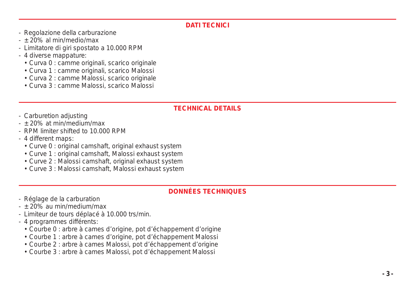#### **DATI TECNICI**

- Regolazione della carburazione
- $+$  20% al min/medio/max
- Limitatore di giri spostato a 10.000 RPM
- 4 diverse mappature:
	- Curva 0 : camme originali, scarico originale
	- Curva 1 : camme originali, scarico Malossi
	- Curva 2 : camme Malossi, scarico originale
	- Curva 3 : camme Malossi, scarico Malossi

#### **TECHNICAL DETAILS**

- Carburetion adjusting
- ± 20% at min/medium/max
- RPM limiter shifted to 10.000 RPM
- 4 different maps:
	- Curve 0 : original camshaft, original exhaust system
	- Curve 1 : original camshaft, Malossi exhaust system
	- Curve 2 : Malossi camshaft, original exhaust system
	- Curve 3 : Malossi camshaft, Malossi exhaust system

#### **DONNÉES TECHNIQUES**

- Réglage de la carburation
- $+$  20% au min/medium/max
- Limiteur de tours déplacé à 10.000 trs/min.
- 4 programmes différents:
	- Courbe 0 : arbre à cames d'origine, pot d'échappement d'origine
	- Courbe 1 : arbre à cames d'origine, pot d'échappement Malossi
	- Courbe 2 : arbre à cames Malossi, pot d'échappement d'origine
	- Courbe 3 : arbre à cames Malossi, pot d'échappement Malossi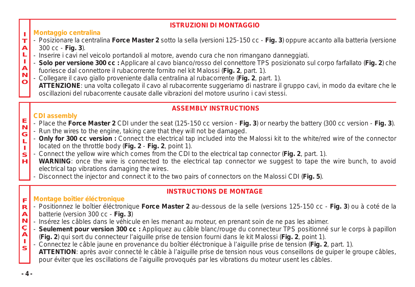#### **ISTRUZIONI DI MONTAGGIO**

#### I **Montaggio centralina**

- $\mathbf{T}$ - Posizionare la centralina **Force Master 2** sotto la sella (versioni 125-150 cc - **Fig. 3**) oppure accanto alla batteria (versione
- A 300 cc - **Fig. 3**).
- L - Inserire i cavi nel veicolo portandoli al motore, avendo cura che non rimangano danneggiati.
- I - **Solo per versione 300 cc :** Applicare al cavo bianco/rosso del connettore TPS posizionato sul corpo farfallato (**Fig. 2**) che
- A N fuoriesce dal connettore il rubacorrente fornito nel kit Malossi (**Fig. 2**, part. 1).
- O - Collegare il cavo giallo proveniente dalla centralina al rubacorrente (**Fig. 2**, part. 1).
- **ATTENZIONE**: una volta collegato il cavo al rubacorrente suggeriamo di nastrare il gruppo cavi, in modo da evitare che le oscillazioni del rubacorrente causate dalle vibrazioni del motore usurino i cavi stessi.

#### **ASSEMBLY INSTRUCTIONS**

#### **CDI assembly**

- E N - Place the **Force Master 2** CDI under the seat (125-150 cc version - **Fig. 3**) or nearby the battery (300 cc version - **Fig. 3**).
- G - Run the wires to the engine, taking care that they will not be damaged.
- L I - **Only for 300 cc version :** Connect the electrical tap included into the Malossi kit to the white/red wire of the connector located on the throttle body (**Fig. 2** - **Fig. 2**, point 1).
- S - Connect the yellow wire which comes from the CDI to the electrical tap connector (**Fig. 2**, part. 1).
- H **WARNING**: once the wire is connected to the electrical tap connector we suggest to tape the wire bunch, to avoid electrical tap vibrations damaging the wires.
	- Disconnect the injector and connect it to the two pairs of connectors on the Malossi CDI (**Fig. 5**).

### **INSTRUCTIONS DE MONTAGE**

#### F **Montage boîtier éléctronique**

- R - Positionnez le boîtier éléctronique **Force Master 2** au-dessous de la selle (versions 125-150 cc - **Fig. 3**) ou à coté de la
- A batterie (version 300 cc - **Fig. 3**)
- N - Insérez les câbles dans le véhicule en les menant au moteur, en prenant soin de ne pas les abimer.
- Ç A - **Seulement pour version 300 cc :** Appliquez au câble blanc/rouge du connecteur TPS positionné sur le corps à papillon (**Fig. 2**) qui sort du connecteur l'aiguille prise de tension fourni dans le kit Malossi (**Fig. 2**, point 1).
- I S - Connectez le câble jaune en provenance du boîtier éléctronique à l'aiguille prise de tension (**Fig. 2**, part. 1). **ATTENTION**: après avoir connecté le câble à l'aiguille prise de tension nous vous conseillons de guiper le groupe câbles, pour éviter que les oscillations de l'aiguille provoqués par les vibrations du moteur usent les câbles.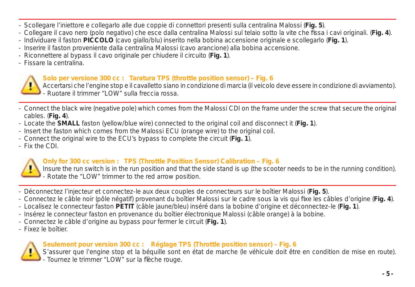- Scollegare l'iniettore e collegarlo alle due coppie di connettori presenti sulla centralina Malossi (**Fig. 5**).
- Collegare il cavo nero (polo negativo) che esce dalla centralina Malossi sul telaio sotto la vite che fissa i cavi originali. (Fig. 4).
- Individuare il faston **PICCOLO** (cavo giallo/blu) inserito nella bobina accensione originale e scollegarlo (**Fig. 1**).
- Inserire il faston proveniente dalla centralina Malossi (cavo arancione) alla bobina accensione.
- Riconnettere al bypass il cavo originale per chiudere il circuito (**Fig. 1**).
- Fissare la centralina.



#### **Solo per versione 300 cc : Taratura TPS (throttle position sensor) – Fig. 6**

Accertarsi che l'engine stop e il cavalletto siano in condizione di marcia (il veicolo deve essere in condizione di avviamento). - Ruotare il trimmer "LOW" sulla freccia rossa.

- Connect the black wire (negative pole) which comes from the Malossi CDI on the frame under the screw that secure the original cables. (**Fig. 4**).
- Locate the **SMALL** faston (yellow/blue wire) connected to the original coil and disconnect it (**Fig. 1**).
- Insert the faston which comes from the Malossi ECU (orange wire) to the original coil.
- Connect the original wire to the ECU's bypass to complete the circuit (**Fig. 1**).
- Fix the CDI.



#### **Only for 300 cc version : TPS (Throttle Position Sensor) Calibration – Fig. 6**

Insure the run switch is in the run position and that the side stand is up (the scooter needs to be in the running condition). - Rotate the "LOW" trimmer to the red arrow position.

- Déconnectez l'injecteur et connectez-le aux deux couples de connecteurs sur le boîtier Malossi (**Fig. 5**).
- Connectez le câble noir (pôle négatif) provenant du boîtier Malossi sur le cadre sous la vis qui fixe les câbles d'origine (**Fig. 4**).
- Localisez le connecteur faston **PETIT** (câble jaune/bleu) inséré dans la bobine d'origine et déconnectez-le (**Fig. 1**).
- Insérez le connecteur faston en provenance du boîtier électronique Malossi (câble orange) à la bobine.
- Connectez le câble d'origine au bypass pour fermer le circuit (**Fig. 1**).
- Fixez le boîtier.



#### **Seulement pour version 300 cc : Réglage TPS (Throttle position sensor) – Fig. 6**

S'assurer que l'engine stop et la béquille sont en état de marche (le véhicule doit être en condition de mise en route). Tournez le trimmer "LOW" sur la flèche rouge.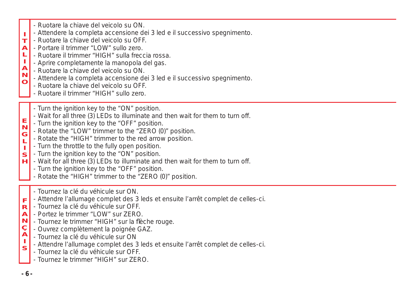- Ruotare la chiave del veicolo su ON.
- Attendere la completa accensione dei 3 led e il successivo spegnimento.
- I T - Ruotare la chiave del veicolo su OFF.
- A - Portare il trimmer "LOW" sullo zero.
- L - Ruotare il trimmer "HIGH" sulla freccia rossa.
- I A - Aprire completamente la manopola del gas.
- N - Ruotare la chiave del veicolo su ON.
- $\mathbf C$ - Attendere la completa accensione dei 3 led e il successivo spegnimento.
	- Ruotare la chiave del veicolo su OFF.
	- Ruotare il trimmer "HIGH" sullo zero.
	- Turn the ignition key to the "ON" position.
	- Wait for all three (3) LEDs to illuminate and then wait for them to turn off.
- E N - Turn the ignition key to the "OFF" position.
- G - Rotate the "LOW" trimmer to the "ZERO (0)" position.
- L - Rotate the "HIGH" trimmer to the red arrow position.
- Turn the throttle to the fully open position.
- I S - Turn the ignition key to the "ON" position.
- H - Wait for all three (3) LEDs to illuminate and then wait for them to turn off.
	- Turn the ignition key to the "OFF" position.
	- Rotate the "HIGH" trimmer to the "ZERO (0)" position.
	- Tournez la clé du véhicule sur ON.
- F - Attendre l'allumage complet des 3 leds et ensuite l'arrêt complet de celles-ci.
- R - Tournez la clé du véhicule sur OFF.
- A - Portez le trimmer "LOW" sur ZERO.
- N - Tournez le trimmer "HIGH" sur la flèche rouge.
- Ç A - Ouvrez complètement la poignée GAZ.
- Tournez la clé du véhicule sur ON
- I S - Attendre l'allumage complet des 3 leds et ensuite l'arrêt complet de celles-ci.
	- Tournez la clé du véhicule sur OFF.
	- Tournez le trimmer "HIGH" sur ZERO.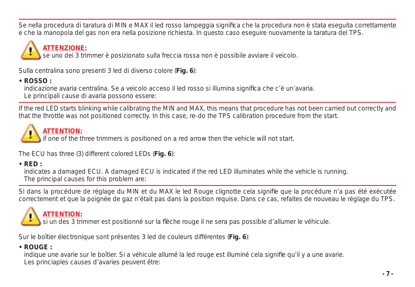Se nella procedura di taratura di MIN e MAX il led rosso lampeggia significa che la procedura non è stata eseguita correttamente e che la manopola del gas non era nella posizione richiesta. In questo caso eseguire nuovamente la taratura del TPS.

# **ATTENZIONE:**

se uno dei 3 trimmer è posizionato sulla freccia rossa non è possibile avviare il veicolo.

Sulla centralina sono presenti 3 led di diverso colore (**Fig. 6**):

**• ROSSO :**

indicazione avaria centralina. Se a veicolo acceso il led rosso si illumina significa che c'è un'avaria.

Le principali cause di avaria possono essere:

If the red LED starts blinking while calibrating the MIN and MAX, this means that procedure has not been carried out correctly and that the throttle was not positioned correctly. In this case, re-do the TPS calibration procedure from the start.



## **ATTENTION:**

if one of the three trimmers is positioned on a red arrow then the vehicle will not start.

The ECU has three (3) different colored LEDs (**Fig. 6**):

**• RED :**

 indicates a damaged ECU. A damaged ECU is indicated if the red LED illuminates while the vehicle is running. The principal causes for this problem are:

Si dans la procédure de réglage du MIN et du MAX le led Rouge clignotte cela signifie que la procédure n'a pas été exécutée correctement et que la poignée de gaz n'était pas dans la position requise. Dans ce cas, refaites de nouveau le réglage du TPS.

# **ATTENTION:**

si un des 3 trimmer est positionné sur la flèche rouge il ne sera pas possible d'allumer le véhicule.

Sur le boîtier électronique sont présentes 3 led de couleurs différentes (**Fig. 6**):

**• ROUGE :**

indique une avarie sur le boîtier. Si a véhicule allumé la led rouge est illuminé cela signifie qu'il y a une avarie. Les princiaples causes d'avaries peuvent être: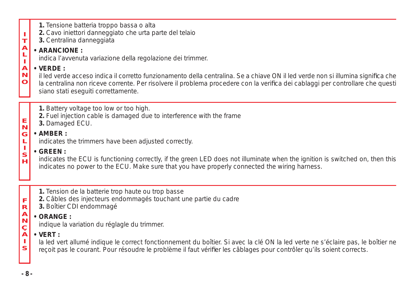| ÷.<br>$\mathbf T$<br>$\begin{array}{c}\nA \\ L \\ I\n\end{array}$<br>A<br>N<br>$\mathbf{o}$                                                                                                                                                                                                                                                                                                                                                                                                                                                                                                                                                                                                                                                                                                                                                                  | 1. Tensione batteria troppo bassa o alta<br>2. Cavo iniettori danneggiato che urta parte del telaio<br>3. Centralina danneggiata<br>· ARANCIONE:<br>indica l'avvenuta variazione della regolazione dei trimmer.<br>$\cdot$ VERDE :<br>il led verde acceso indica il corretto funzionamento della centralina. Se a chiave ON il led verde non si illumina significa che<br>la centralina non riceve corrente. Per risolvere il problema procedere con la verifica dei cablaggi per controllare che questi<br>siano stati eseguiti correttamente. |
|--------------------------------------------------------------------------------------------------------------------------------------------------------------------------------------------------------------------------------------------------------------------------------------------------------------------------------------------------------------------------------------------------------------------------------------------------------------------------------------------------------------------------------------------------------------------------------------------------------------------------------------------------------------------------------------------------------------------------------------------------------------------------------------------------------------------------------------------------------------|-------------------------------------------------------------------------------------------------------------------------------------------------------------------------------------------------------------------------------------------------------------------------------------------------------------------------------------------------------------------------------------------------------------------------------------------------------------------------------------------------------------------------------------------------|
| $\begin{array}{c}\n\blacksquare\rightarrow\blacksquare\rightarrow\blacksquare\rightarrow\blacksquare\rightarrow\blacksquare\rightarrow\blacksquare\rightarrow\blacksquare\rightarrow\blacksquare\rightarrow\blacksquare\rightarrow\blacksquare\rightarrow\blacksquare\rightarrow\blacksquare\rightarrow\blacksquare\rightarrow\blacksquare\rightarrow\blacksquare\rightarrow\blacksquare\rightarrow\blacksquare\rightarrow\blacksquare\rightarrow\blacksquare\rightarrow\blacksquare\rightarrow\blacksquare\rightarrow\blacksquare\rightarrow\blacksquare\rightarrow\blacksquare\rightarrow\blacksquare\rightarrow\blacksquare\rightarrow\blacksquare\rightarrow\blacksquare\rightarrow\blacksquare\rightarrow\blacksquare\rightarrow\blacksquare\rightarrow\blacksquare\rightarrow\blacksquare\rightarrow\blacksquare\rightarrow\blacksquare\rightarrow\bl$ | 1. Battery voltage too low or too high.<br>2. Fuel injection cable is damaged due to interference with the frame<br>3. Damaged ECU.<br>$\cdot$ AMBER :<br>indicates the trimmers have been adjusted correctly.<br>$\cdot$ GREEN :<br>indicates the ECU is functioning correctly, if the green LED does not illuminate when the ignition is switched on, then this<br>indicates no power to the ECU. Make sure that you have properly connected the wiring harness.                                                                              |
| F<br>$\mathbf R$<br>A<br>N<br>C<br>A<br>H.<br>S                                                                                                                                                                                                                                                                                                                                                                                                                                                                                                                                                                                                                                                                                                                                                                                                              | 1. Tension de la batterie trop haute ou trop basse<br>2. Câbles des injecteurs endommagés touchant une partie du cadre<br>3. Boîtier CDI endommagé<br>$\cdot$ ORANGE :<br>indique la variation du réglagle du trimmer.<br>$\cdot$ VERT :<br>la led vert allumé indique le correct fonctionnement du boîtier. Si avec la clé ON la led verte ne s'éclaire pas, le boîtier ne<br>reçoit pas le courant. Pour résoudre le problème il faut vérifier les câblages pour contrôler qu'ils soient corrects.                                            |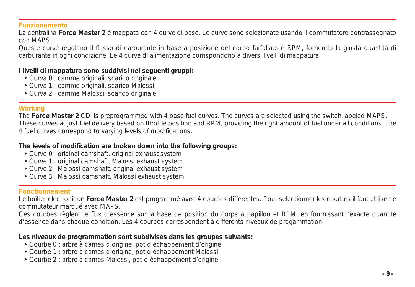#### **Funzionamento**

La centralina **Force Master 2** è mappata con 4 curve di base. Le curve sono selezionate usando il commutatore contrassegnato con MAPS.

Queste curve regolano il flusso di carburante in base a posizione del corpo farfallato e RPM, fornendo la giusta quantità di carburante in ogni condizione. Le 4 curve di alimentazione corrispondono a diversi livelli di mappatura.

#### **I livelli di mappatura sono suddivisi nei seguenti gruppi:**

- Curva 0 : camme originali, scarico originale
- Curva 1 : camme originali, scarico Malossi
- Curva 2 : camme Malossi, scarico originale

#### **Working**

The **Force Master 2** CDI is preprogrammed with 4 base fuel curves. The curves are selected using the switch labeled MAPS. These curves adjust fuel delivery based on throttle position and RPM, providing the right amount of fuel under all conditions. The 4 fuel curves correspond to varying levels of modifications.

#### **The levels of modifi cation are broken down into the following groups:**

- Curve 0 : original camshaft, original exhaust system
- Curve 1 : original camshaft, Malossi exhaust system
- Curve 2 : Malossi camshaft, original exhaust system
- Curve 3 : Malossi camshaft, Malossi exhaust system

#### **Fonctionnement**

Le boîtier éléctronique **Force Master 2** est programmé avec 4 courbes différentes. Pour selectionner les courbes il faut utiliser le commutateur marqué avec MAPS.

Ces courbes règlent le flux d'essence sur la base de position du corps à papillon et RPM, en fournissant l'exacte quantité d'essence dans chaque condition. Les 4 courbes correspondent à différents niveaux de progammation.

#### **Les niveaux de programmation sont subdivisés dans les groupes suivants:**

- Courbe 0 : arbre à cames d'origine, pot d'échappement d'origine
- Courbe 1 : arbre à cames d'origine, pot d'échappement Malossi
- Courbe 2 : arbre à cames Malossi, pot d'échappement d'origine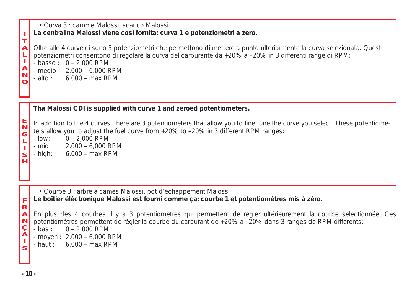| п<br>T<br>$\overline{A}$<br>ţ<br>A<br>N<br>O                                          | • Curva 3 : camme Malossi, scarico Malossi<br>La centralina Malossi viene così fornita: curva 1 e potenziometri a zero.<br>Oltre alle 4 curve ci sono 3 potenziometri che permettono di mettere a punto ulteriormente la curva selezionata. Questi<br>potenziometri consentono di regolare la curva del carburante da +20% a -20% in 3 differenti range di RPM:<br>$-$ basso: $0 - 2.000$ RPM<br>$-$ medio: $2.000 - 6.000$ RPM<br>$-$ alto: $6.000 - max$ RPM                        |
|---------------------------------------------------------------------------------------|---------------------------------------------------------------------------------------------------------------------------------------------------------------------------------------------------------------------------------------------------------------------------------------------------------------------------------------------------------------------------------------------------------------------------------------------------------------------------------------|
| ENGL-S<br>н                                                                           | Tha Malossi CDI is supplied with curve 1 and zeroed potentiometers.<br>In addition to the 4 curves, there are 3 potentiometers that allow you to fine tune the curve you select. These potentiome-<br>ters allow you to adjust the fuel curve from +20% to -20% in 3 different RPM ranges:<br>$0 - 2,000$ RPM<br>- low:<br>2,000 - 6,000 RPM<br>- mid:<br>6,000 - max RPM<br>- high:                                                                                                  |
| F<br>$\mathbf R$<br>$\overline{\mathbf{A}}$<br>$N$ <sub>C</sub> $A$ <sup>1</sup><br>s | • Courbe 3 : arbre à cames Malossi, pot d'échappement Malossi<br>Le boîtier éléctronique Malossi est fourni comme ça: courbe 1 et potentiomètres mis à zéro.<br>En plus des 4 courbes il y a 3 potentiomètres qui permettent de régler ultérieurement la courbe selectionnée. Ces<br>potentiomètres permettent de régler la courbe du carburant de +20% à -20% dans 3 ranges de RPM différents:<br>$-bas: 0 - 2.000$ RPM<br>- moyen: $2.000 - 6.000$ RPM<br>- haut: $6.000 - max$ RPM |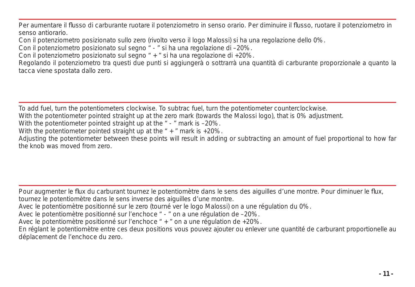Per aumentare il flusso di carburante ruotare il potenziometro in senso orario. Per diminuire il flusso, ruotare il potenziometro in senso antiorario.

Con il potenziometro posizionato sullo zero (rivolto verso il logo Malossi) si ha una regolazione dello 0%.

Con il potenziometro posizionato sul segno " - " si ha una regolazione di –20%.

Con il potenziometro posizionato sul segno " + " si ha una regolazione di +20%.

Regolando il potenziometro tra questi due punti si aggiungerà o sottrarrà una quantità di carburante proporzionale a quanto la tacca viene spostata dallo zero.

To add fuel, turn the potentiometers clockwise. To subtrac fuel, turn the potentiometer counterclockwise.

With the potentiometer pointed straight up at the zero mark (towards the Malossi logo), that is 0% adjustment.

With the potentiometer pointed straight up at the " - " mark is -20%.

With the potentiometer pointed straight up at the  $" + "$  mark is +20%.

Adjusting the potentiometer between these points will result in adding or subtracting an amount of fuel proportional to how far the knob was moved from zero.

Pour augmenter le flux du carburant tournez le potentiomètre dans le sens des aiguilles d'une montre. Pour diminuer le flux, tournez le potentiomètre dans le sens inverse des aiguilles d'une montre.

Avec le potentiomètre positionné sur le zero (tourné ver le logo Malossi) on a une régulation du 0%.

Avec le potentiomètre positionné sur l'enchoce " - " on a une régulation de –20%.

Avec le potentiomètre positionné sur l'enchoce " + " on a une régulation de +20%.

En réglant le potentiomètre entre ces deux positions vous pouvez ajouter ou enlever une quantité de carburant proportionelle au déplacement de l'enchoce du zero.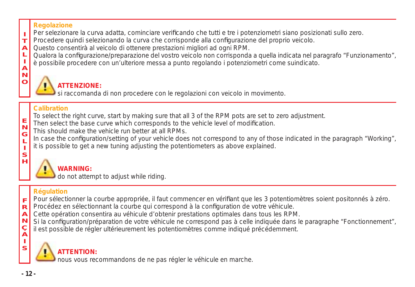#### **Regolazione**

I Per selezionare la curva adatta, cominciare verificando che tutti e tre i potenziometri siano posizionati sullo zero.

- $\mathbf{r}$ Procedere quindi selezionando la curva che corrisponde alla configurazione del proprio veicolo.
- A Questo consentirà al veicolo di ottenere prestazioni migliori ad ogni RPM.
- L Qualora la configurazione/preparazione del vostro veicolo non corrisponda a quella indicata nel paragrafo "Funzionamento",
- è possibile procedere con un'ulteriore messa a punto regolando i potenziometri come suindicato.

#### I A N O

## **ATTENZIONE:**

si raccomanda di non procedere con le regolazioni con veicolo in movimento.

#### **Calibration**

- To select the right curve, start by making sure that all 3 of the RPM pots are set to zero adjustment.
- E Then select the base curve which corresponds to the vehicle level of modification.
	- This should make the vehicle run better at all RPMs.
	- In case the configuration/setting of your vehicle does not correspond to any of those indicated in the paragraph "Working", it is possible to get a new tuning adjusting the potentiometers as above explained.



N G

## **WARNING:**

do not attempt to adjust while riding.

## **Régulation**

- F Pour sélectionner la courbe appropriée, il faut commencer en vérifiant que les 3 potentiomètres soient positonnés à zéro.
- R Procédez en sélectionnant la courbe qui correspond à la configuration de votre véhicule.
- A Cette opération consentira au véhicule d'obtenir prestations optimales dans tous les RPM.
- N Si la configuration/préparation de votre véhicule ne correspond pas à celle indiquée dans le paragraphe "Fonctionnement",
	- il est possible de régler ultérieurement les potentiomètres comme indiqué précédemment.



## **ATTENTION:**

nous vous recommandons de ne pas régler le véhicule en marche.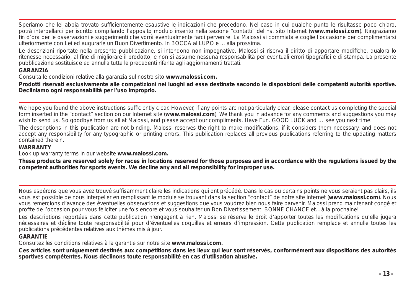Speriamo che lei abbia trovato sufficientemente esaustive le indicazioni che precedono. Nel caso in cui qualche punto le risultasse poco chiaro. potrà interpellarci per iscritto compilando l'apposito modulo inserito nella sezione "contatti" del ns. sito Internet (**www.malossi.com**). Ringraziamo fin d'ora per le osservazioni e suggerimenti che vorrà eventualmente farci pervenire. La Malossi si commiata e coglie l'occasione per complimentarsi ulteriormente con Lei ed augurarle un Buon Divertimento. In BOCCA al LUPO e ... alla prossima.

*Le descrizioni riportate nella presente pubblicazione, si intendono non impegnative. Malossi si riserva il diritto di apportare modifi che, qualora lo ritenesse necessario, al fi ne di migliorare il prodotto, e non si assume nessuna responsabilità per eventuali errori tipografi ci e di stampa. La presente pubblicazione sostituisce ed annulla tutte le precedenti riferite agli aggiornamenti trattati.*

#### **GARANZIA**

Consulta le condizioni relative alla garanzia sul nostro sito **www.malossi.com.**

**Prodotti riservati esclusivamente alle competizioni nei luoghi ad esse destinate secondo le disposizioni delle competenti autorità sportive. Decliniamo ogni responsabilità per l'uso improprio.**

We hope you found the above instructions sufficiently clear. However, if any points are not particularly clear, please contact us completing the special form inserted in the "contact" section on our Internet site (**www.malossi.com**). We thank you in advance for any comments and suggestions you may wish to send us. So goodbye from us all at Malossi, and please accept our compliments. Have Fun. GOOD LUCK and … see you next time. *The descriptions in this publication are not binding. Malossi reserves the right to make modifi cations, if it considers them necessary, and does not accept any responsibility for any typographic or printing errors. This publication replaces all previous publications referring to the updating matters* 

#### *contained therein.* **WARRANTY**

Look up warranty terms in our website **www.malossi.com.**

**These products are reserved solely for races in locations reserved for those purposes and in accordance with the regulations issued by the competent authorities for sports events. We decline any and all responsibility for improper use.**

Nous espérons que vous avez trouvé suffisamment claire les indications qui ont précédé. Dans le cas ou certains points ne vous seraient pas clairs, ils vous est possible de nous interpeller en remplissant le module se trouvant dans la section "contact" de notre site internet (**www.malossi.com**). Nous vous remercions d'avance des éventuelles observations et suggestions que vous voudrez bien nous faire parvenir. Malossi prend maintenant congé et profite de l'occasion pour vous féliciter une fois encore et vous souhaiter un Bon Divertissement. BONNE CHANCE et…à la prochaine!

*Les descriptions reportées dans cette publication n'engagent à rien. Malossi se réserve le droit d'apporter toutes les modifi cations qu'elle jugera nécessaires et décline toute responsabilité pour d'éventuelles coquilles et erreurs d'impression. Cette publication remplace et annulle toutes les publications précédentes relatives aux thèmes mis à jour.*

#### **GARANTIE**

Consultez les conditions relatives à la garantie sur notre site **www.malossi.com.**

**Ces articles sont uniquement destinés aux compétitions dans les lieux qui leur sont réservés, conformément aux dispositions des autorités sportives compétentes. Nous déclinons toute responsabilité en cas d'utilisation abusive.**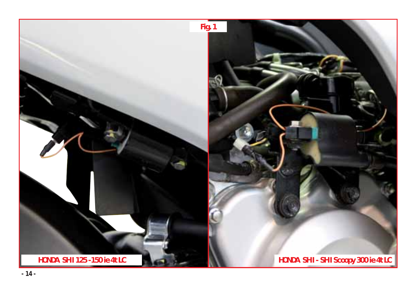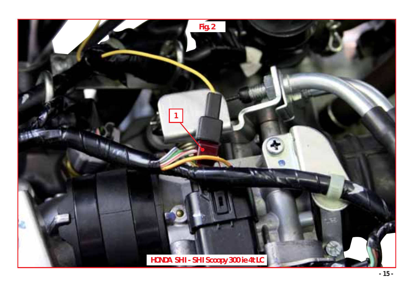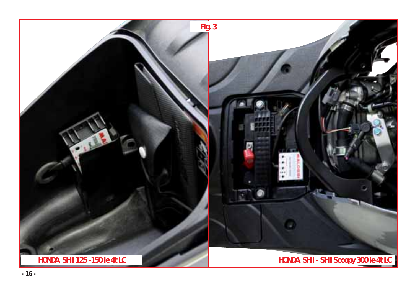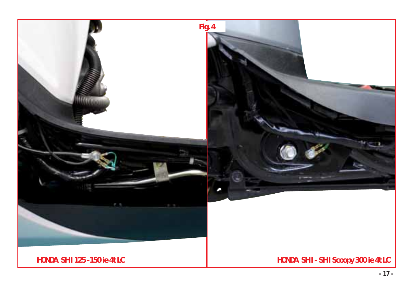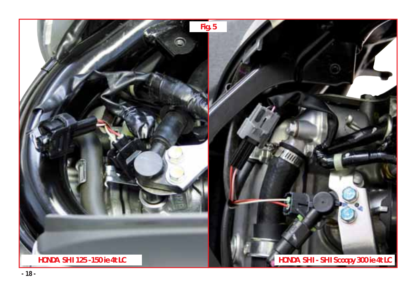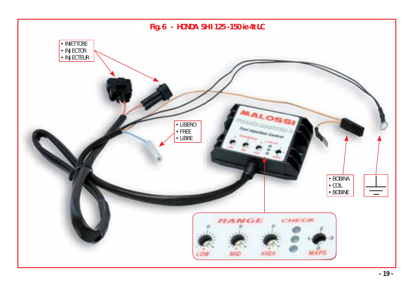